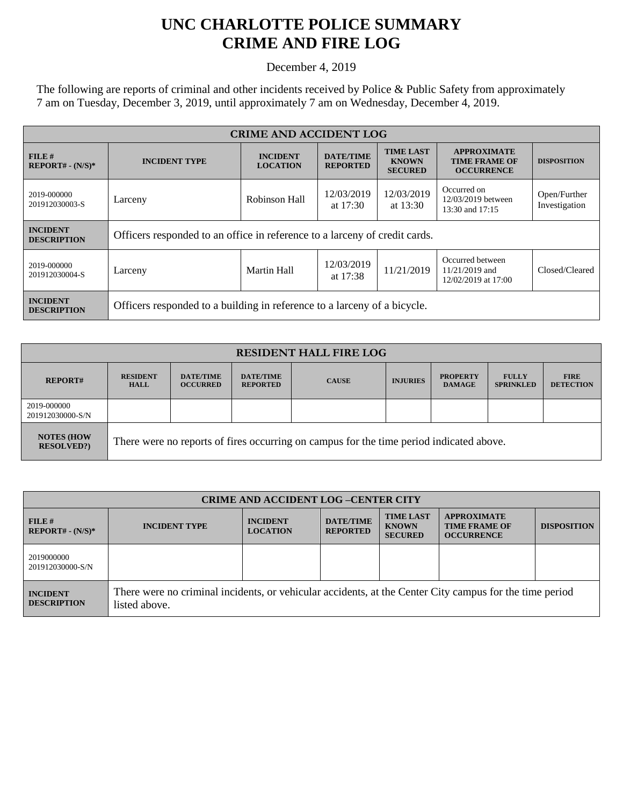## **UNC CHARLOTTE POLICE SUMMARY CRIME AND FIRE LOG**

December 4, 2019

The following are reports of criminal and other incidents received by Police & Public Safety from approximately 7 am on Tuesday, December 3, 2019, until approximately 7 am on Wednesday, December 4, 2019.

| <b>CRIME AND ACCIDENT LOG</b>         |                                                                            |                                    |                                     |                                                    |                                                                 |                               |
|---------------------------------------|----------------------------------------------------------------------------|------------------------------------|-------------------------------------|----------------------------------------------------|-----------------------------------------------------------------|-------------------------------|
| FILE H<br>$REPORT# - (N/S)*$          | <b>INCIDENT TYPE</b>                                                       | <b>INCIDENT</b><br><b>LOCATION</b> | <b>DATE/TIME</b><br><b>REPORTED</b> | <b>TIME LAST</b><br><b>KNOWN</b><br><b>SECURED</b> | <b>APPROXIMATE</b><br><b>TIME FRAME OF</b><br><b>OCCURRENCE</b> | <b>DISPOSITION</b>            |
| 2019-000000<br>201912030003-S         | Larceny                                                                    | Robinson Hall                      | 12/03/2019<br>at $17:30$            | 12/03/2019<br>at $13:30$                           | Occurred on<br>12/03/2019 between<br>13:30 and 17:15            | Open/Further<br>Investigation |
| <b>INCIDENT</b><br><b>DESCRIPTION</b> | Officers responded to an office in reference to a larceny of credit cards. |                                    |                                     |                                                    |                                                                 |                               |
| 2019-000000<br>201912030004-S         | Larceny                                                                    | Martin Hall                        | 12/03/2019<br>at $17:38$            | 11/21/2019                                         | Occurred between<br>11/21/2019 and<br>12/02/2019 at 17:00       | Closed/Cleared                |
| <b>INCIDENT</b><br><b>DESCRIPTION</b> | Officers responded to a building in reference to a larceny of a bicycle.   |                                    |                                     |                                                    |                                                                 |                               |

| <b>RESIDENT HALL FIRE LOG</b>         |                                                                                         |                                     |                                     |              |                 |                                  |                                  |                                 |
|---------------------------------------|-----------------------------------------------------------------------------------------|-------------------------------------|-------------------------------------|--------------|-----------------|----------------------------------|----------------------------------|---------------------------------|
| <b>REPORT#</b>                        | <b>RESIDENT</b><br><b>HALL</b>                                                          | <b>DATE/TIME</b><br><b>OCCURRED</b> | <b>DATE/TIME</b><br><b>REPORTED</b> | <b>CAUSE</b> | <b>INJURIES</b> | <b>PROPERTY</b><br><b>DAMAGE</b> | <b>FULLY</b><br><b>SPRINKLED</b> | <b>FIRE</b><br><b>DETECTION</b> |
| 2019-000000<br>201912030000-S/N       |                                                                                         |                                     |                                     |              |                 |                                  |                                  |                                 |
| <b>NOTES (HOW</b><br><b>RESOLVED?</b> | There were no reports of fires occurring on campus for the time period indicated above. |                                     |                                     |              |                 |                                  |                                  |                                 |

| <b>CRIME AND ACCIDENT LOG-CENTER CITY</b> |                                                                                                                          |                                    |                                     |                                                    |                                                                 |                    |
|-------------------------------------------|--------------------------------------------------------------------------------------------------------------------------|------------------------------------|-------------------------------------|----------------------------------------------------|-----------------------------------------------------------------|--------------------|
| FILE H<br>$REPORT# - (N/S)*$              | <b>INCIDENT TYPE</b>                                                                                                     | <b>INCIDENT</b><br><b>LOCATION</b> | <b>DATE/TIME</b><br><b>REPORTED</b> | <b>TIME LAST</b><br><b>KNOWN</b><br><b>SECURED</b> | <b>APPROXIMATE</b><br><b>TIME FRAME OF</b><br><b>OCCURRENCE</b> | <b>DISPOSITION</b> |
| 2019000000<br>201912030000-S/N            |                                                                                                                          |                                    |                                     |                                                    |                                                                 |                    |
| <b>INCIDENT</b><br><b>DESCRIPTION</b>     | There were no criminal incidents, or vehicular accidents, at the Center City campus for the time period<br>listed above. |                                    |                                     |                                                    |                                                                 |                    |